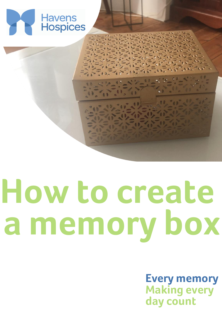

# **How to create a memory box**

**Every memory Making every day count**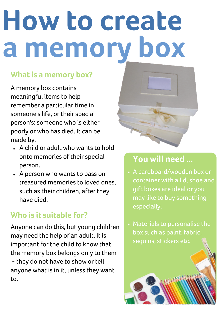## **How to create a memory box**

#### **What is a memory box?**

A memory box contains meaningful items to help remember a particular time in someone's life, or their special person's; someone who is either poorly or who has died. It can be made by:

- A child or adult who wants to hold onto memories of their special person.
- A person who wants to pass on treasured memories to loved ones, such as their children, after they have died.

### **Who is it suitable for?**

Anyone can do this, but young children may need the help of an adult. It is important for the child to know that the memory box belongs only to them - they do not have to show or tell anyone what is in it, unless they want to.



### **You will need ...**

- A cardboard/wooden box or container with a lid, shoe and gift boxes are ideal or you may like to buy something especially.
- Materials to personalise the box such as paint, fabric, sequins, stickers etc.